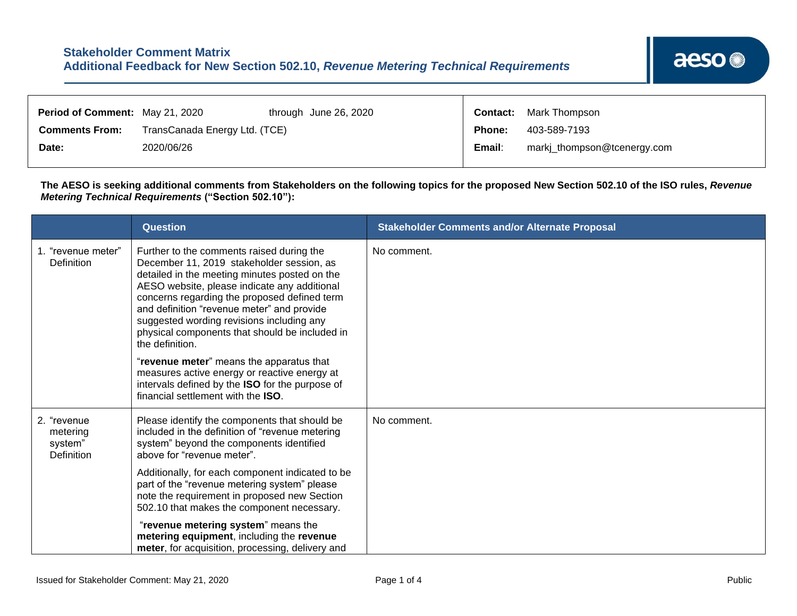| <b>Period of Comment: May 21, 2020</b> |                               | through June 26, 2020 |        | <b>Contact:</b> Mark Thompson |  |  |
|----------------------------------------|-------------------------------|-----------------------|--------|-------------------------------|--|--|
| <b>Comments From:</b>                  | TransCanada Energy Ltd. (TCE) |                       |        | 403-589-7193                  |  |  |
| Date:                                  | 2020/06/26                    |                       | Email: | markj_thompson@tcenergy.com   |  |  |

┯

**The AESO is seeking additional comments from Stakeholders on the following topics for the proposed New Section 502.10 of the ISO rules,** *Revenue Metering Technical Requirements* **("Section 502.10"):**

|                                                  | <b>Question</b>                                                                                                                                                                                                                                                                                                                                                                                         | <b>Stakeholder Comments and/or Alternate Proposal</b> |
|--------------------------------------------------|---------------------------------------------------------------------------------------------------------------------------------------------------------------------------------------------------------------------------------------------------------------------------------------------------------------------------------------------------------------------------------------------------------|-------------------------------------------------------|
| 1. "revenue meter"<br>Definition                 | Further to the comments raised during the<br>December 11, 2019 stakeholder session, as<br>detailed in the meeting minutes posted on the<br>AESO website, please indicate any additional<br>concerns regarding the proposed defined term<br>and definition "revenue meter" and provide<br>suggested wording revisions including any<br>physical components that should be included in<br>the definition. | No comment.                                           |
|                                                  | "revenue meter" means the apparatus that<br>measures active energy or reactive energy at<br>intervals defined by the ISO for the purpose of<br>financial settlement with the ISO.                                                                                                                                                                                                                       |                                                       |
| 2. "revenue<br>metering<br>system"<br>Definition | Please identify the components that should be<br>included in the definition of "revenue metering<br>system" beyond the components identified<br>above for "revenue meter".                                                                                                                                                                                                                              | No comment.                                           |
|                                                  | Additionally, for each component indicated to be<br>part of the "revenue metering system" please<br>note the requirement in proposed new Section<br>502.10 that makes the component necessary.                                                                                                                                                                                                          |                                                       |
|                                                  | "revenue metering system" means the<br>metering equipment, including the revenue<br>meter, for acquisition, processing, delivery and                                                                                                                                                                                                                                                                    |                                                       |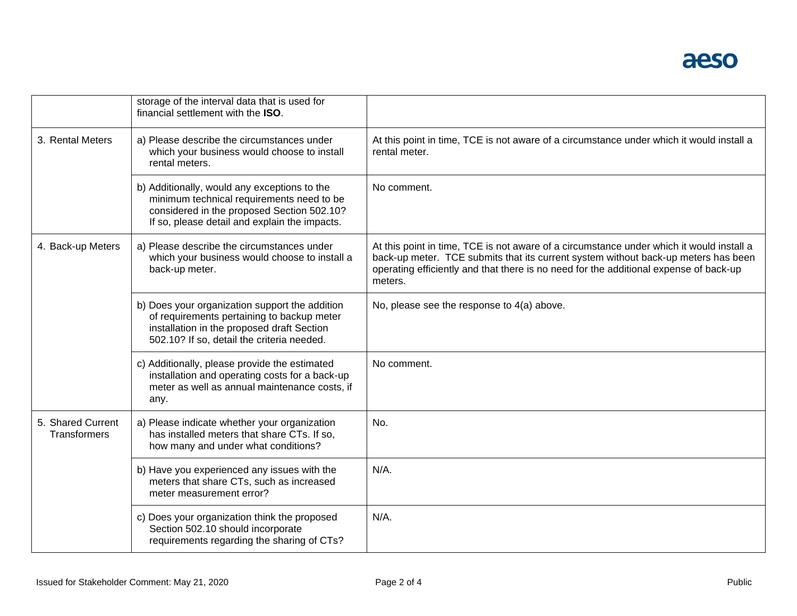

|                                          | storage of the interval data that is used for<br>financial settlement with the ISO.                                                                                                      |                                                                                                                                                                                                                                                                                    |  |  |
|------------------------------------------|------------------------------------------------------------------------------------------------------------------------------------------------------------------------------------------|------------------------------------------------------------------------------------------------------------------------------------------------------------------------------------------------------------------------------------------------------------------------------------|--|--|
| 3. Rental Meters                         | a) Please describe the circumstances under<br>which your business would choose to install<br>rental meters.                                                                              | At this point in time, TCE is not aware of a circumstance under which it would install a<br>rental meter.                                                                                                                                                                          |  |  |
|                                          | b) Additionally, would any exceptions to the<br>minimum technical requirements need to be<br>considered in the proposed Section 502.10?<br>If so, please detail and explain the impacts. | No comment.                                                                                                                                                                                                                                                                        |  |  |
| 4. Back-up Meters                        | a) Please describe the circumstances under<br>which your business would choose to install a<br>back-up meter.                                                                            | At this point in time, TCE is not aware of a circumstance under which it would install a<br>back-up meter. TCE submits that its current system without back-up meters has been<br>operating efficiently and that there is no need for the additional expense of back-up<br>meters. |  |  |
|                                          | b) Does your organization support the addition<br>of requirements pertaining to backup meter<br>installation in the proposed draft Section<br>502.10? If so, detail the criteria needed. | No, please see the response to 4(a) above.                                                                                                                                                                                                                                         |  |  |
|                                          | c) Additionally, please provide the estimated<br>installation and operating costs for a back-up<br>meter as well as annual maintenance costs, if<br>any.                                 | No comment.                                                                                                                                                                                                                                                                        |  |  |
| 5. Shared Current<br><b>Transformers</b> | a) Please indicate whether your organization<br>has installed meters that share CTs. If so,<br>how many and under what conditions?                                                       | No.                                                                                                                                                                                                                                                                                |  |  |
|                                          | b) Have you experienced any issues with the<br>meters that share CTs, such as increased<br>meter measurement error?                                                                      | $N/A$ .                                                                                                                                                                                                                                                                            |  |  |
|                                          | c) Does your organization think the proposed<br>Section 502.10 should incorporate<br>requirements regarding the sharing of CTs?                                                          | $N/A$ .                                                                                                                                                                                                                                                                            |  |  |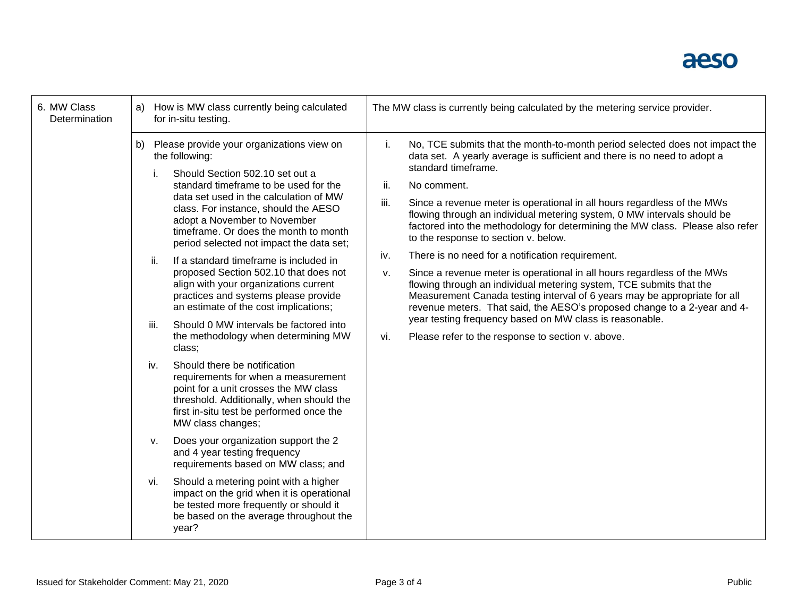## aeso

| 6. MW Class<br>Determination | How is MW class currently being calculated<br>a)<br>for in-situ testing. | The MW class is currently being calculated by the metering service provider.                                                                                                                                                                                                                                                                                                                                                                                                                                                                                                                                                                                                                                                                                                                                                                                                                                                                                                                                                                                                                                                                                                          |                                                                                                                                                                                                                                                                                                                                                                                                                                                                                                                                                                                                                                                                                                                                                                                                                                                                                                                                                                                                      |  |  |
|------------------------------|--------------------------------------------------------------------------|---------------------------------------------------------------------------------------------------------------------------------------------------------------------------------------------------------------------------------------------------------------------------------------------------------------------------------------------------------------------------------------------------------------------------------------------------------------------------------------------------------------------------------------------------------------------------------------------------------------------------------------------------------------------------------------------------------------------------------------------------------------------------------------------------------------------------------------------------------------------------------------------------------------------------------------------------------------------------------------------------------------------------------------------------------------------------------------------------------------------------------------------------------------------------------------|------------------------------------------------------------------------------------------------------------------------------------------------------------------------------------------------------------------------------------------------------------------------------------------------------------------------------------------------------------------------------------------------------------------------------------------------------------------------------------------------------------------------------------------------------------------------------------------------------------------------------------------------------------------------------------------------------------------------------------------------------------------------------------------------------------------------------------------------------------------------------------------------------------------------------------------------------------------------------------------------------|--|--|
|                              | b)<br>ii.<br>iii.<br>iv.<br>ν.<br>vi.                                    | Please provide your organizations view on<br>the following:<br>Should Section 502.10 set out a<br>standard timeframe to be used for the<br>data set used in the calculation of MW<br>class. For instance, should the AESO<br>adopt a November to November<br>timeframe. Or does the month to month<br>period selected not impact the data set;<br>If a standard timeframe is included in<br>proposed Section 502.10 that does not<br>align with your organizations current<br>practices and systems please provide<br>an estimate of the cost implications;<br>Should 0 MW intervals be factored into<br>the methodology when determining MW<br>class;<br>Should there be notification<br>requirements for when a measurement<br>point for a unit crosses the MW class<br>threshold. Additionally, when should the<br>first in-situ test be performed once the<br>MW class changes;<br>Does your organization support the 2<br>and 4 year testing frequency<br>requirements based on MW class; and<br>Should a metering point with a higher<br>impact on the grid when it is operational<br>be tested more frequently or should it<br>be based on the average throughout the<br>year? | No, TCE submits that the month-to-month period selected does not impact the<br>i.<br>data set. A yearly average is sufficient and there is no need to adopt a<br>standard timeframe.<br>ii.<br>No comment.<br>iii.<br>Since a revenue meter is operational in all hours regardless of the MWs<br>flowing through an individual metering system, 0 MW intervals should be<br>factored into the methodology for determining the MW class. Please also refer<br>to the response to section v. below.<br>There is no need for a notification requirement.<br>iv.<br>Since a revenue meter is operational in all hours regardless of the MWs<br>v.<br>flowing through an individual metering system, TCE submits that the<br>Measurement Canada testing interval of 6 years may be appropriate for all<br>revenue meters. That said, the AESO's proposed change to a 2-year and 4-<br>year testing frequency based on MW class is reasonable.<br>Please refer to the response to section v. above.<br>vi. |  |  |